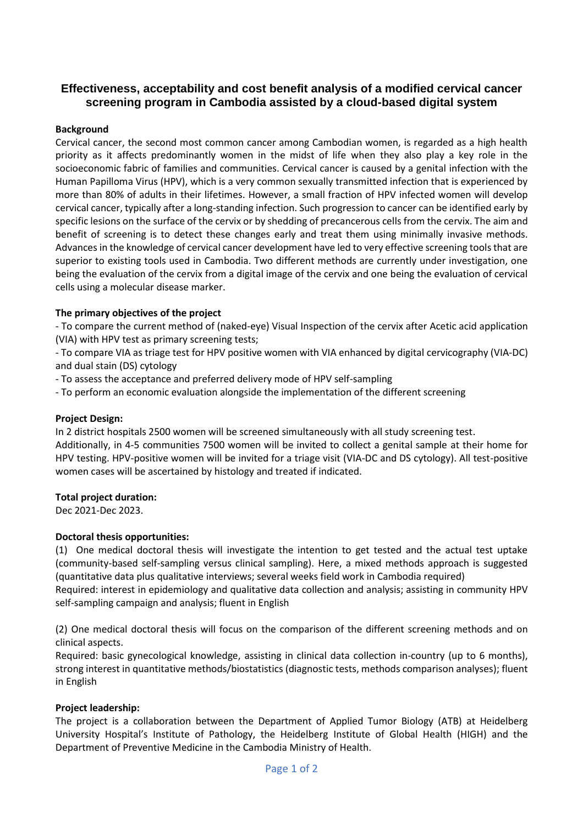# **Effectiveness, acceptability and cost benefit analysis of a modified cervical cancer screening program in Cambodia assisted by a cloud-based digital system**

### **Background**

Cervical cancer, the second most common cancer among Cambodian women, is regarded as a high health priority as it affects predominantly women in the midst of life when they also play a key role in the socioeconomic fabric of families and communities. Cervical cancer is caused by a genital infection with the Human Papilloma Virus (HPV), which is a very common sexually transmitted infection that is experienced by more than 80% of adults in their lifetimes. However, a small fraction of HPV infected women will develop cervical cancer, typically after a long-standing infection. Such progression to cancer can be identified early by specific lesions on the surface of the cervix or by shedding of precancerous cells from the cervix. The aim and benefit of screening is to detect these changes early and treat them using minimally invasive methods. Advances in the knowledge of cervical cancer development have led to very effective screening tools that are superior to existing tools used in Cambodia. Two different methods are currently under investigation, one being the evaluation of the cervix from a digital image of the cervix and one being the evaluation of cervical cells using a molecular disease marker.

## **The primary objectives of the project**

- To compare the current method of (naked-eye) Visual Inspection of the cervix after Acetic acid application (VIA) with HPV test as primary screening tests;

- To compare VIA as triage test for HPV positive women with VIA enhanced by digital cervicography (VIA-DC) and dual stain (DS) cytology

- To assess the acceptance and preferred delivery mode of HPV self-sampling

- To perform an economic evaluation alongside the implementation of the different screening

#### **Project Design:**

In 2 district hospitals 2500 women will be screened simultaneously with all study screening test.

Additionally, in 4-5 communities 7500 women will be invited to collect a genital sample at their home for HPV testing. HPV-positive women will be invited for a triage visit (VIA-DC and DS cytology). All test-positive women cases will be ascertained by histology and treated if indicated.

#### **Total project duration:**

Dec 2021-Dec 2023.

#### **Doctoral thesis opportunities:**

(1) One medical doctoral thesis will investigate the intention to get tested and the actual test uptake (community-based self-sampling versus clinical sampling). Here, a mixed methods approach is suggested (quantitative data plus qualitative interviews; several weeks field work in Cambodia required) Required: interest in epidemiology and qualitative data collection and analysis; assisting in community HPV self-sampling campaign and analysis; fluent in English

(2) One medical doctoral thesis will focus on the comparison of the different screening methods and on clinical aspects.

Required: basic gynecological knowledge, assisting in clinical data collection in-country (up to 6 months), strong interest in quantitative methods/biostatistics (diagnostic tests, methods comparison analyses); fluent in English

#### **Project leadership:**

The project is a collaboration between the Department of Applied Tumor Biology (ATB) at Heidelberg University Hospital's Institute of Pathology, the Heidelberg Institute of Global Health (HIGH) and the Department of Preventive Medicine in the Cambodia Ministry of Health.